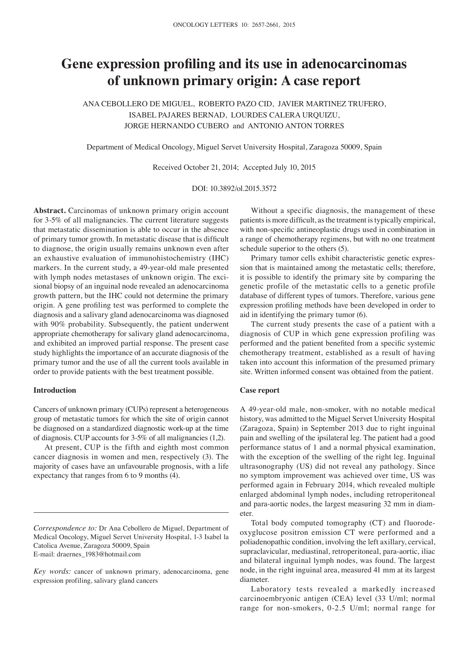# **Gene expression profling and its use in adenocarcinomas of unknown primary origin: A case report**

ANA CEBOLLERO DE MIGUEL, ROBERTO PAZO CID, JAVIER MARTINEZ TRUFERO, ISABEL PAJARES BERNAD, LOURDES CALERA URQUIZU, JORGE HERNANDO CUBERO and ANTONIO ANTON TORRES

Department of Medical Oncology, Miguel Servet University Hospital, Zaragoza 50009, Spain

Received October 21, 2014; Accepted July 10, 2015

DOI: 10.3892/ol.2015.3572

**Abstract.** Carcinomas of unknown primary origin account for 3-5% of all malignancies. The current literature suggests that metastatic dissemination is able to occur in the absence of primary tumor growth. In metastatic disease that is diffcult to diagnose, the origin usually remains unknown even after an exhaustive evaluation of immunohistochemistry (IHC) markers. In the current study, a 49-year-old male presented with lymph nodes metastases of unknown origin. The excisional biopsy of an inguinal node revealed an adenocarcinoma growth pattern, but the IHC could not determine the primary origin. A gene profling test was performed to complete the diagnosis and a salivary gland adenocarcinoma was diagnosed with 90% probability. Subsequently, the patient underwent appropriate chemotherapy for salivary gland adenocarcinoma, and exhibited an improved partial response. The present case study highlights the importance of an accurate diagnosis of the primary tumor and the use of all the current tools available in order to provide patients with the best treatment possible.

# **Introduction**

Cancers of unknown primary (CUPs) represent a heterogeneous group of metastatic tumors for which the site of origin cannot be diagnosed on a standardized diagnostic work-up at the time of diagnosis. CUP accounts for 3-5% of all malignancies (1,2).

At present, CUP is the fifth and eighth most common cancer diagnosis in women and men, respectively (3). The majority of cases have an unfavourable prognosis, with a life expectancy that ranges from 6 to 9 months (4).

Without a specific diagnosis, the management of these patients is more diffcult, as the treatment is typically empirical, with non-specific antineoplastic drugs used in combination in a range of chemotherapy regimens, but with no one treatment schedule superior to the others (5).

Primary tumor cells exhibit characteristic genetic expression that is maintained among the metastatic cells; therefore, it is possible to identify the primary site by comparing the genetic profile of the metastatic cells to a genetic profile database of different types of tumors. Therefore, various gene expression profling methods have been developed in order to aid in identifying the primary tumor (6).

The current study presents the case of a patient with a diagnosis of CUP in which gene expression profiling was performed and the patient benefted from a specifc systemic chemotherapy treatment, established as a result of having taken into account this information of the presumed primary site. Written informed consent was obtained from the patient.

### **Case report**

A 49-year-old male, non-smoker, with no notable medical history, was admitted to the Miguel Servet University Hospital (Zaragoza, Spain) in September 2013 due to right inguinal pain and swelling of the ipsilateral leg. The patient had a good performance status of 1 and a normal physical examination, with the exception of the swelling of the right leg. Inguinal ultrasonography (US) did not reveal any pathology. Since no symptom improvement was achieved over time, US was performed again in February 2014, which revealed multiple enlarged abdominal lymph nodes, including retroperitoneal and para-aortic nodes, the largest measuring 32 mm in diameter.

Total body computed tomography (CT) and fluorodeoxyglucose positron emission CT were performed and a poliadenopathic condition, involving the left axillary, cervical, supraclavicular, mediastinal, retroperitoneal, para-aortic, iliac and bilateral inguinal lymph nodes, was found. The largest node, in the right inguinal area, measured 41 mm at its largest diameter.

Laboratory tests revealed a markedly increased carcinoembryonic antigen (CEA) level (33 U/ml; normal range for non-smokers, 0-2.5 U/ml; normal range for

*Correspondence to:* Dr Ana Cebollero de Miguel, Department of Medical Oncology, Miguel Servet University Hospital, 1-3 Isabel la Catolica Avenue, Zaragoza 50009, Spain E-mail: draernes\_1983@hotmail.com

*Key words:* cancer of unknown primary, adenocarcinoma, gene expression profiling, salivary gland cancers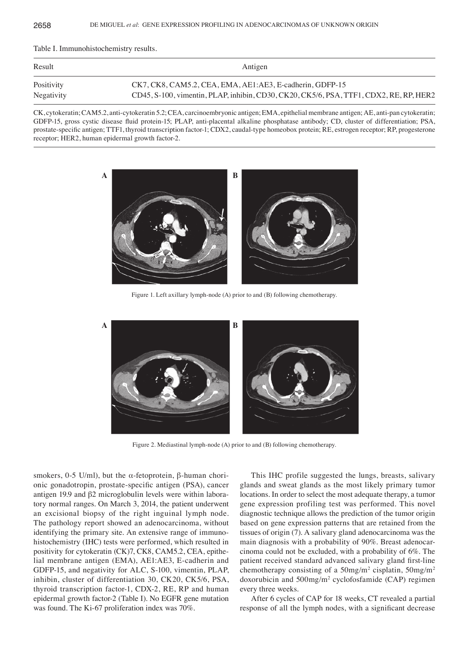Table I. Immunohistochemistry results.

| Result     | Antigen                                                                                |
|------------|----------------------------------------------------------------------------------------|
| Positivity | CK7, CK8, CAM5.2, CEA, EMA, AE1:AE3, E-cadherin, GDFP-15                               |
| Negativity | CD45, S-100, vimentin, PLAP, inhibin, CD30, CK20, CK5/6, PSA, TTF1, CDX2, RE, RP, HER2 |

CK, cytokeratin; CAM5.2, anti-cytokeratin 5.2; CEA, carcinoembryonic antigen; EMA, epithelial membrane antigen; AE, anti-pan cytokeratin; GDFP-15, gross cystic disease fluid protein-15; PLAP, anti-placental alkaline phosphatase antibody; CD, cluster of differentiation; PSA, prostate-specific antigen; TTF1, thyroid transcription factor-1; CDX2, caudal-type homeobox protein; RE, estrogen receptor; RP, progesterone receptor; HER2, human epidermal growth factor-2.



Figure 1. Left axillary lymph-node (A) prior to and (B) following chemotherapy.



Figure 2. Mediastinal lymph-node (A) prior to and (B) following chemotherapy.

smokers, 0-5 U/ml), but the α-fetoprotein,  $β$ -human chorionic gonadotropin, prostate‑specifc antigen (PSA), cancer antigen 19.9 and β2 microglobulin levels were within laboratory normal ranges. On March 3, 2014, the patient underwent an excisional biopsy of the right inguinal lymph node. The pathology report showed an adenocarcinoma, without identifying the primary site. An extensive range of immunohistochemistry (IHC) tests were performed, which resulted in positivity for cytokeratin (CK)7, CK8, CAM5.2, CEA, epithelial membrane antigen (EMA), AE1:AE3, E-cadherin and GDFP-15, and negativity for ALC, S-100, vimentin, PLAP, inhibin, cluster of differentiation 30, CK20, CK5/6, PSA, thyroid transcription factor-1, CDX-2, RE, RP and human epidermal growth factor-2 (Table I). No EGFR gene mutation was found. The Ki-67 proliferation index was 70%.

This IHC profile suggested the lungs, breasts, salivary glands and sweat glands as the most likely primary tumor locations. In order to select the most adequate therapy, a tumor gene expression profiling test was performed. This novel diagnostic technique allows the prediction of the tumor origin based on gene expression patterns that are retained from the tissues of origin (7). A salivary gland adenocarcinoma was the main diagnosis with a probability of 90%. Breast adenocarcinoma could not be excluded, with a probability of 6%. The patient received standard advanced salivary gland frst‑line chemotherapy consisting of a  $50$ mg/m<sup>2</sup> cisplatin,  $50$ mg/m<sup>2</sup> doxorubicin and 500mg/m2 cyclofosfamide (CAP) regimen every three weeks.

After 6 cycles of CAP for 18 weeks, CT revealed a partial response of all the lymph nodes, with a signifcant decrease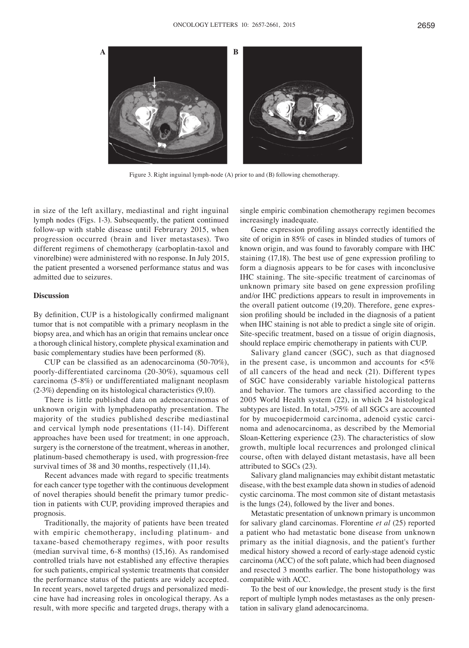

Figure 3. Right inguinal lymph-node (A) prior to and (B) following chemotherapy.

in size of the left axillary, mediastinal and right inguinal lymph nodes (Figs. 1-3). Subsequently, the patient continued follow-up with stable disease until Februrary 2015, when progression occurred (brain and liver metastases). Two different regimens of chemotherapy (carboplatin-taxol and vinorelbine) were administered with no response. In July 2015, the patient presented a worsened performance status and was admitted due to seizures.

## **Discussion**

By defnition, CUP is a histologically confrmed malignant tumor that is not compatible with a primary neoplasm in the biopsy area, and which has an origin that remains unclear once a thorough clinical history, complete physical examination and basic complementary studies have been performed (8).

CUP can be classifed as an adenocarcinoma (50‑70%), poorly-differentiated carcinoma (20-30%), squamous cell carcinoma (5-8%) or undifferentiated malignant neoplasm (2-3%) depending on its histological characteristics (9,10).

There is little published data on adenocarcinomas of unknown origin with lymphadenopathy presentation. The majority of the studies published describe mediastinal and cervical lymph node presentations (11-14). Different approaches have been used for treatment; in one approach, surgery is the cornerstone of the treatment, whereas in another, platinum-based chemotherapy is used, with progression-free survival times of 38 and 30 months, respectively  $(11,14)$ .

Recent advances made with regard to specifc treatments for each cancer type together with the continuous development of novel therapies should beneft the primary tumor prediction in patients with CUP, providing improved therapies and prognosis.

Traditionally, the majority of patients have been treated with empiric chemotherapy, including platinum- and taxane-based chemotherapy regimes, with poor results (median survival time, 6-8 months) (15,16). As randomised controlled trials have not established any effective therapies for such patients, empirical systemic treatments that consider the performance status of the patients are widely accepted. In recent years, novel targeted drugs and personalized medicine have had increasing roles in oncological therapy. As a result, with more specifc and targeted drugs, therapy with a single empiric combination chemotherapy regimen becomes increasingly inadequate.

Gene expression profling assays correctly identifed the site of origin in 85% of cases in blinded studies of tumors of known origin, and was found to favorably compare with IHC staining (17,18). The best use of gene expression profling to form a diagnosis appears to be for cases with inconclusive IHC staining. The site‑specifc treatment of carcinomas of unknown primary site based on gene expression profiling and/or IHC predictions appears to result in improvements in the overall patient outcome (19,20). Therefore, gene expression profling should be included in the diagnosis of a patient when IHC staining is not able to predict a single site of origin. Site-specific treatment, based on a tissue of origin diagnosis, should replace empiric chemotherapy in patients with CUP.

Salivary gland cancer (SGC), such as that diagnosed in the present case, is uncommon and accounts for  $< 5\%$ of all cancers of the head and neck (21). Different types of SGC have considerably variable histological patterns and behavior. The tumors are classified according to the 2005 World Health system (22), in which 24 histological subtypes are listed. In total, >75% of all SGCs are accounted for by mucoepidermoid carcinoma, adenoid cystic carcinoma and adenocarcinoma, as described by the Memorial Sloan-Kettering experience (23). The characteristics of slow growth, multiple local recurrences and prolonged clinical course, often with delayed distant metastasis, have all been attributed to SGCs (23).

Salivary gland malignancies may exhibit distant metastatic disease, with the best example data shown in studies of adenoid cystic carcinoma. The most common site of distant metastasis is the lungs (24), followed by the liver and bones.

Metastatic presentation of unknown primary is uncommon for salivary gland carcinomas. Florentine *et al* (25) reported a patient who had metastatic bone disease from unknown primary as the initial diagnosis, and the patient's further medical history showed a record of early-stage adenoid cystic carcinoma (ACC) of the soft palate, which had been diagnosed and resected 3 months earlier. The bone histopathology was compatible with ACC.

To the best of our knowledge, the present study is the frst report of multiple lymph nodes metastases as the only presentation in salivary gland adenocarcinoma.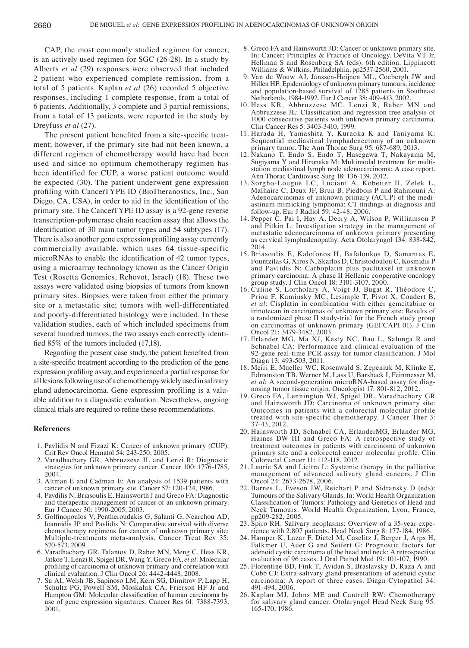CAP, the most commonly studied regimen for cancer, is an actively used regimen for SGC (26-28). In a study by Alberts *et al* (29) responses were observed that included 2 patient who experienced complete remission, from a total of 5 patients. Kaplan *et al* (26) recorded 5 objective responses, including 1 complete response, from a total of 6 patients. Additionally, 3 complete and 3 partial remissions, from a total of 13 patients, were reported in the study by Dreyfuss *et al* (27).

The present patient benefited from a site-specific treatment; however, if the primary site had not been known, a different regimen of chemotherapy would have had been used and since no optimum chemotherapy regimen has been identified for CUP, a worse patient outcome would be expected (30). The patient underwent gene expression profling with CancerTYPE ID (BioTheranostics, Inc., San Diego, CA, USA), in order to aid in the identifcation of the primary site. The CancerTYPE ID assay is a 92-gene reverse transcription-polymerase chain reaction assay that allows the identifcation of 30 main tumor types and 54 subtypes (17). There is also another gene expression profling assay currently commercially available, which uses 64 tissue-specific microRNAs to enable the identifcation of 42 tumor types, using a microarray technology known as the Cancer Origin Test (Rosetta Genomics, Rehovot, Israel) (18). These two assays were validated using biopsies of tumors from known primary sites. Biopsies were taken from either the primary site or a metastatic site; tumors with well-differentiated and poorly-differentiated histology were included. In these validation studies, each of which included specimens from several hundred tumors, the two assays each correctly identifed 85% of the tumors included (17,18).

Regarding the present case study, the patient benefted from a site‑specifc treatment according to the prediction of the gene expression profling assay, and experienced a partial response for all lesions following use of a chemotherapy widely used in salivary gland adenocarcinoma. Gene expression profiling is a valuable addition to a diagnostic evaluation. Nevertheless, ongoing clinical trials are required to refne these recommendations.

#### **References**

- 1. Pavlidis N and Fizazi K: Cancer of unknown primary (CUP). Crit Rev Oncol Hematol 54: 243-250, 2005.
- 2. Varadhachary GR, Abbruzzese JL and Lenzi R: Diagnostic strategies for unknown primary cancer. Cancer 100: 1776-1785, 2004.
- 3. Altman E and Cadman E: An analysis of 1539 patients with cancer of unknown primary site. Cancer 57: 120-124, 1986.
- 4. Pavdilis N, Briasoulis E, Hainsworth J and Greco FA: Diagnostic and therapeutic management of cancer of an unknown primary. Eur J Cancer 30: 1990-2005, 2003.
- 5. Golfnopoulos V, Pentheroudakis G, Salanti G, Nearchou AD, Ioannidis JP and Pavlidis N: Comparative survival with diverse chemotherapy regimens for cancer of unknown primary site: Multiple-treatments meta-analysis. Cancer Treat Rev 35: 570-573, 2009.
- 6. Varadhachary GR, Talantov D, Raber MN, Meng C, Hess KR, Jatkoe T, Lenzi R, Spigel DR, Wang Y, Greco FA, *et al*: Molecular profling of carcinoma of unknown primary and correlation with clinical evaluation. J Clin Oncol 26: 4442-4448, 2008.
- 7. Su AI, Welsh JB, Sapinoso LM, Kern SG, Dimitrov P, Lapp H, Schultz PG, Powell SM, Moskaluk CA, Frierson HF Jr and Hampton GM: Molecular classifcation of human carcinoma by use of gene expression signatures. Cancer Res 61: 7388-7393, 2001.
- 8. Greco FA and Hainsworth JD: Cancer of unknown primary site. In: Cancer: Principles & Practice of Oncology. DeVita VT Jr, Hellman S and Rosenberg SA (eds). 6th edition. Lippincott Williams & Wilkins, Philadelphia, pp2537-2560, 2001.
- 9. Van de Wouw AJ, Janssen-Heijnen ML, Coebergh JW and Hillen HF: Epidemiology of unknown primary tumours; incidence and population-based survival of 1285 patients in Southeast Netherlands, 1984-1992. Eur J Cancer 38: 409-413, 2002.
- 10. Hess KR, Abbruzzese MC, Lenzi R, Raber MN and Abbruzzese JL: Classifcation and regression tree analysis of 1000 consecutive patients with unknown primary carcinoma. Clin Cancer Res 5: 3403-3410, 1999.
- 11. Harada H, Yamashita Y, Kuraoka K and Taniyama K: Sequential mediastinal lymphadenectomy of an unknown primary tumor. The Ann Thorac Surg 95: 687-689, 2013.
- 12. Nakano T, Endo S, Endo T, Hasegawa T, Nakayama M, Sugiyama Y and Hironaka M: Multimodal treatment for multistation mediastinal lymph node adenocarcinoma: A case report. Ann Thorac Cardiovasc Surg 18: 136-139, 2012.
- 13. Sorgho-Lougue LC, Luciani A, Kobeiter H, Zelek L, Malhaire C, Deux JF, Brun B, Piedbois P and Rahmouni A: Adenocarcinomas of unknown primary (ACUP) of the mediastinum mimicking lymphoma: CT fndings at diagnosis and follow-up. Eur J Radiol 59: 42-48, 2006.
- 14. Pepper C, Pai I, Hay A, Deery A, Wilson P, Williamson P and Pitkin L: Investigation strategy in the management of metastatic adenocarcinoma of unknown primary presenting as cervical lymphadenopathy. Acta Otolaryngol 134: 838-842, 2014.
- 15. Briasoulis E, Kalofonos H, Bafaloukos D, Samantas E, Fountzilas G, Xiros N, Skarlos D, Christodoulou C, Kosmidis P and Pavlidis N: Carboplatin plus paclitaxel in unknown primary carcinoma: A phase II Hellenic cooperative oncology group study. J Clin Oncol 18: 3101-3107, 2000.
- 16. Culine S, Lortholary A, Voigt JJ, Bugat R, Théodore C, Priou F, Kaminsky MC, Lesimple T, Pivot X, Coudert B, *et al*: Cisplatin in combination with either gemcitabine or irinotecan in carcinomas of unknown primary site: Results of a randomized phase II study-trial for the French study group on carcinomas of unknown primary (GEFCAPI 01). J Clin Oncol 21: 3479-3482, 2003.
- 17. Erlander MG, Ma XJ, Kesty NC, Bao L, Salunga R and Schnabel CA: Performance and clinical evaluation of the 92-gene real-time PCR assay for tumor classification. J Mol Diagn 13: 493-503, 2011.
- 18. Meiri E, Mueller WC, Rosenwald S, Zepeniuk M, Klinke E, Edmonston TB, Werner M, Lass U, Barshack I, Feinmesser M, *et al*: A second-generation microRNA-based assay for diagnosing tumor tissue origin. Oncologist 17: 801-812, 2012.
- 19. Greco FA, Lennington WJ, Spigel DR, Varadhachary GR and Hainsworth JD: Carcinoma of unknown primary site: Outcomes in patients with a colorectal molecular profile treated with site-specific chemotherapy. J Cancer Ther 3: 37-43, 2012.
- 20. Hainsworth JD, Schnabel CA, ErlanderMG, Erlander MG, Haines DW III and Greco FA: A retrospective study of treatment outcomes in patients with carcinoma of unknown primary site and a colorectal cancer molecular profle. Clin Colorectal Cancer 11: 112-118, 2012.
- 21. Laurie SA and Licitra L: Systemic therapy in the palliative management of advanced salivary gland cancers. J Clin Oncol 24: 2673-2678, 2006.
- 22. Barnes L, Eveson JW, Reichart P and Sidransky D (eds): Tumours of the Salivary Glands. In: World Health Organization Classifcation of Tumors: Pathology and Genetics of Head and Neck Tumours. World Health Organization, Lyon, France, pp209-282, 2005.
- 23. Spiro RH: Salivary neoplasms: Overview of a 35-year experience with 2,807 patients. Head Neck Surg 8: 177-184, 1986.
- 24. Hamper K, Lazar F, Dietel M, Caselitz J, Berger J, Arps H, Falkmer U, Auer G and Seifert G: Prognostic factors for adenoid cystic carcinoma of the head and neck: A retrospective evaluation of 96 cases. J Oral Pathol Med 19: 101-107, 1990.
- 25. Florentine BD, Fink T, Avidan S, Braslavsky D, Raza A and Cobb CJ: Extra-salivary gland presentations of adenoid cystic carcinoma: A report of three cases. Diagn Cytopathol 34: 491-494, 2006.
- 26. Kaplan MJ, Johns ME and Cantrell RW: Chemotherapy for salivary gland cancer. Otolaryngol Head Neck Surg 95: 165-170, 1986.